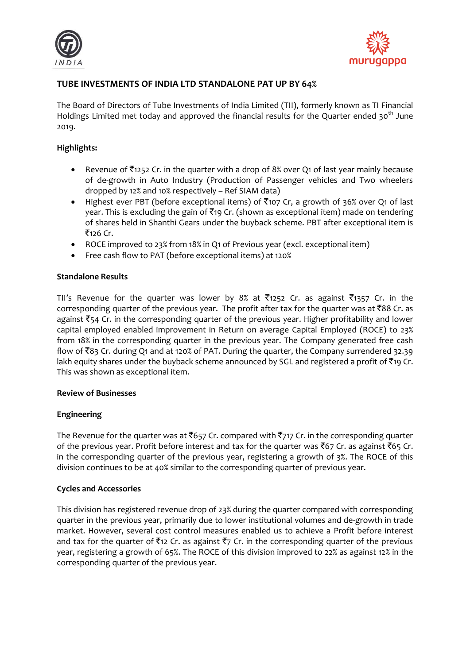



# **TUBE INVESTMENTS OF INDIA LTD STANDALONE PAT UP BY 64%**

The Board of Directors of Tube Investments of India Limited (TII), formerly known as TI Financial Holdings Limited met today and approved the financial results for the Quarter ended 30<sup>th</sup> June 2019.

# **Highlights:**

- Revenue of  $\bar{\tau}_{1252}$  Cr. in the quarter with a drop of 8% over Q1 of last year mainly because of de-growth in Auto Industry (Production of Passenger vehicles and Two wheelers dropped by 12% and 10% respectively – Ref SIAM data)
- Highest ever PBT (before exceptional items) of  $\bar{c}$ 107 Cr, a growth of 36% over Q1 of last year. This is excluding the gain of  $\bar{z}_{19}$  Cr. (shown as exceptional item) made on tendering of shares held in Shanthi Gears under the buyback scheme. PBT after exceptional item is  $\bar{z}_{126}$  Cr.
- ROCE improved to 23% from 18% in Q1 of Previous year (excl. exceptional item)
- Free cash flow to PAT (before exceptional items) at 120%

# **Standalone Results**

TII's Revenue for the quarter was lower by 8% at  $\bar{z}_1$ 1252 Cr. as against  $\bar{z}_1$ 1357 Cr. in the corresponding quarter of the previous year. The profit after tax for the quarter was at  $\bar{8}88$  Cr. as against  $\bar{z}$ 54 Cr. in the corresponding quarter of the previous year. Higher profitability and lower capital employed enabled improvement in Return on average Capital Employed (ROCE) to 23% from 18% in the corresponding quarter in the previous year. The Company generated free cash flow of ₹83 Cr. during Q1 and at 120% of PAT. During the quarter, the Company surrendered 32.39 lakh equity shares under the buyback scheme announced by SGL and registered a profit of  $\bar{\tau}$ 19 Cr. This was shown as exceptional item.

#### **Review of Businesses**

# **Engineering**

The Revenue for the quarter was at  $\bar{\mathfrak{c}}$ 657 Cr. compared with  $\bar{\mathfrak{c}}$ 717 Cr. in the corresponding quarter of the previous year. Profit before interest and tax for the quarter was  $\bar{c}$ 67 Cr. as against  $\bar{c}$ 65 Cr. in the corresponding quarter of the previous year, registering a growth of 3%. The ROCE of this division continues to be at 40% similar to the corresponding quarter of previous year.

# **Cycles and Accessories**

This division has registered revenue drop of 23% during the quarter compared with corresponding quarter in the previous year, primarily due to lower institutional volumes and de-growth in trade market. However, several cost control measures enabled us to achieve a Profit before interest and tax for the quarter of  $\bar{\tau}_1$ 2 Cr. as against  $\bar{\tau}_7$  Cr. in the corresponding quarter of the previous year, registering a growth of 65%. The ROCE of this division improved to 22% as against 12% in the corresponding quarter of the previous year.